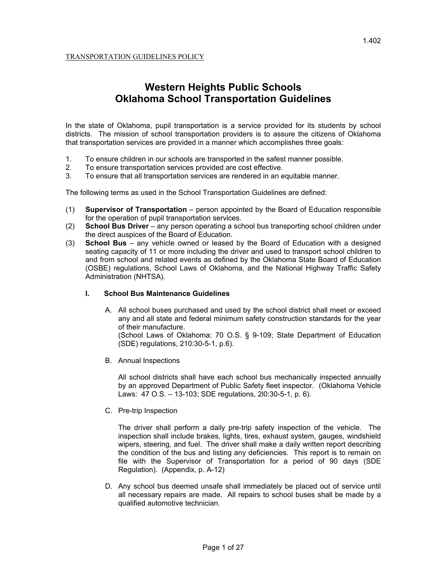# **Western Heights Public Schools Oklahoma School Transportation Guidelines**

In the state of Oklahoma, pupil transportation is a service provided for its students by school districts. The mission of school transportation providers is to assure the citizens of Oklahoma that transportation services are provided in a manner which accomplishes three goals:

- 1. To ensure children in our schools are transported in the safest manner possible.
- 2. To ensure transportation services provided are cost effective.
- 3. To ensure that all transportation services are rendered in an equitable manner.

The following terms as used in the School Transportation Guidelines are defined:

- (1) **Supervisor of Transportation** person appointed by the Board of Education responsible for the operation of pupil transportation services.
- (2) **School Bus Driver** any person operating a school bus transporting school children under the direct auspices of the Board of Education.
- (3) **School Bus** any vehicle owned or leased by the Board of Education with a designed seating capacity of 11 or more including the driver and used to transport school children to and from school and related events as defined by the Oklahoma State Board of Education (OSBE) regulations, School Laws of Oklahoma, and the National Highway Traffic Safety Administration (NHTSA).

## **I. School Bus Maintenance Guidelines**

- A. All school buses purchased and used by the school district shall meet or exceed any and all state and federal minimum safety construction standards for the year of their manufacture. (School Laws of Oklahoma: 70 O.S. § 9-109; State Department of Education (SDE) regulations, 210:30-5-1, p.6).
- B. Annual Inspections

All school districts shall have each school bus mechanically inspected annually by an approved Department of Public Safety fleet inspector. (Oklahoma Vehicle Laws: 47 O.S. – 13-103; SDE regulations, 2l0:30-5-1, p. 6).

C. Pre-trip Inspection

The driver shall perform a daily pre-trip safety inspection of the vehicle. The inspection shall include brakes, lights, tires, exhaust system, gauges, windshield wipers, steering, and fuel. The driver shall make a daily written report describing the condition of the bus and listing any deficiencies. This report is to remain on file with the Supervisor of Transportation for a period of 90 days (SDE Regulation). (Appendix, p. A-12)

D. Any school bus deemed unsafe shall immediately be placed out of service until all necessary repairs are made. All repairs to school buses shall be made by a qualified automotive technician.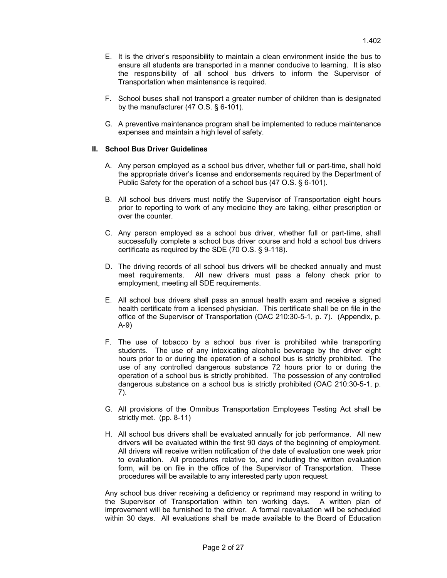- E. It is the driver's responsibility to maintain a clean environment inside the bus to ensure all students are transported in a manner conducive to learning. It is also the responsibility of all school bus drivers to inform the Supervisor of Transportation when maintenance is required.
- F. School buses shall not transport a greater number of children than is designated by the manufacturer (47 O.S. § 6-101).
- G. A preventive maintenance program shall be implemented to reduce maintenance expenses and maintain a high level of safety.

## **II. School Bus Driver Guidelines**

- A. Any person employed as a school bus driver, whether full or part-time, shall hold the appropriate driver's license and endorsements required by the Department of Public Safety for the operation of a school bus (47 O.S. § 6-101).
- B. All school bus drivers must notify the Supervisor of Transportation eight hours prior to reporting to work of any medicine they are taking, either prescription or over the counter.
- C. Any person employed as a school bus driver, whether full or part-time, shall successfully complete a school bus driver course and hold a school bus drivers certificate as required by the SDE (70 O.S. § 9-118).
- D. The driving records of all school bus drivers will be checked annually and must meet requirements. All new drivers must pass a felony check prior to employment, meeting all SDE requirements.
- E. All school bus drivers shall pass an annual health exam and receive a signed health certificate from a licensed physician. This certificate shall be on file in the office of the Supervisor of Transportation (OAC 210:30-5-1, p. 7). (Appendix, p. A-9)
- F. The use of tobacco by a school bus river is prohibited while transporting students. The use of any intoxicating alcoholic beverage by the driver eight hours prior to or during the operation of a school bus is strictly prohibited. The use of any controlled dangerous substance 72 hours prior to or during the operation of a school bus is strictly prohibited. The possession of any controlled dangerous substance on a school bus is strictly prohibited (OAC 210:30-5-1, p. 7).
- G. All provisions of the Omnibus Transportation Employees Testing Act shall be strictly met. (pp. 8-11)
- H. All school bus drivers shall be evaluated annually for job performance. All new drivers will be evaluated within the first 90 days of the beginning of employment. All drivers will receive written notification of the date of evaluation one week prior to evaluation. All procedures relative to, and including the written evaluation form, will be on file in the office of the Supervisor of Transportation. These procedures will be available to any interested party upon request.

Any school bus driver receiving a deficiency or reprimand may respond in writing to the Supervisor of Transportation within ten working days. A written plan of improvement will be furnished to the driver. A formal reevaluation will be scheduled within 30 days. All evaluations shall be made available to the Board of Education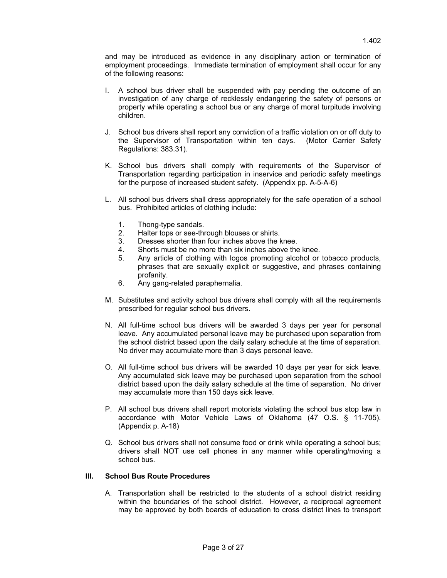and may be introduced as evidence in any disciplinary action or termination of employment proceedings. Immediate termination of employment shall occur for any of the following reasons:

- I. A school bus driver shall be suspended with pay pending the outcome of an investigation of any charge of recklessly endangering the safety of persons or property while operating a school bus or any charge of moral turpitude involving children.
- J. School bus drivers shall report any conviction of a traffic violation on or off duty to the Supervisor of Transportation within ten days. (Motor Carrier Safety Regulations: 383.31).
- K. School bus drivers shall comply with requirements of the Supervisor of Transportation regarding participation in inservice and periodic safety meetings for the purpose of increased student safety. (Appendix pp. A-5-A-6)
- L. All school bus drivers shall dress appropriately for the safe operation of a school bus. Prohibited articles of clothing include:
	- 1. Thong-type sandals.
	- 2. Halter tops or see-through blouses or shirts.
	- 3. Dresses shorter than four inches above the knee.
	- 4. Shorts must be no more than six inches above the knee.
	- 5. Any article of clothing with logos promoting alcohol or tobacco products, phrases that are sexually explicit or suggestive, and phrases containing profanity.
	- 6. Any gang-related paraphernalia.
- M. Substitutes and activity school bus drivers shall comply with all the requirements prescribed for regular school bus drivers.
- N. All full-time school bus drivers will be awarded 3 days per year for personal leave. Any accumulated personal leave may be purchased upon separation from the school district based upon the daily salary schedule at the time of separation. No driver may accumulate more than 3 days personal leave.
- O. All full-time school bus drivers will be awarded 10 days per year for sick leave. Any accumulated sick leave may be purchased upon separation from the school district based upon the daily salary schedule at the time of separation. No driver may accumulate more than 150 days sick leave.
- P. All school bus drivers shall report motorists violating the school bus stop law in accordance with Motor Vehicle Laws of Oklahoma (47 O.S. § 11-705). (Appendix p. A-18)
- Q. School bus drivers shall not consume food or drink while operating a school bus; drivers shall NOT use cell phones in any manner while operating/moving a school bus.

#### **III. School Bus Route Procedures**

A. Transportation shall be restricted to the students of a school district residing within the boundaries of the school district. However, a reciprocal agreement may be approved by both boards of education to cross district lines to transport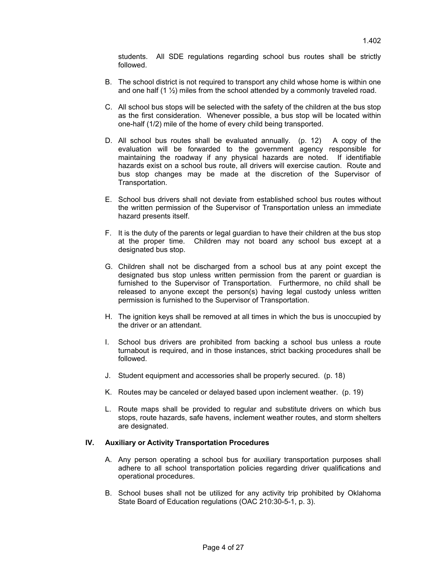students. All SDE regulations regarding school bus routes shall be strictly followed.

- B. The school district is not required to transport any child whose home is within one and one half  $(1 \frac{1}{2})$  miles from the school attended by a commonly traveled road.
- C. All school bus stops will be selected with the safety of the children at the bus stop as the first consideration. Whenever possible, a bus stop will be located within one-half (1/2) mile of the home of every child being transported.
- D. All school bus routes shall be evaluated annually. (p. 12) A copy of the evaluation will be forwarded to the government agency responsible for maintaining the roadway if any physical hazards are noted. If identifiable hazards exist on a school bus route, all drivers will exercise caution. Route and bus stop changes may be made at the discretion of the Supervisor of Transportation.
- E. School bus drivers shall not deviate from established school bus routes without the written permission of the Supervisor of Transportation unless an immediate hazard presents itself.
- F. It is the duty of the parents or legal guardian to have their children at the bus stop at the proper time. Children may not board any school bus except at a designated bus stop.
- G. Children shall not be discharged from a school bus at any point except the designated bus stop unless written permission from the parent or guardian is furnished to the Supervisor of Transportation. Furthermore, no child shall be released to anyone except the person(s) having legal custody unless written permission is furnished to the Supervisor of Transportation.
- H. The ignition keys shall be removed at all times in which the bus is unoccupied by the driver or an attendant.
- I. School bus drivers are prohibited from backing a school bus unless a route turnabout is required, and in those instances, strict backing procedures shall be followed.
- J. Student equipment and accessories shall be properly secured. (p. 18)
- K. Routes may be canceled or delayed based upon inclement weather. (p. 19)
- L. Route maps shall be provided to regular and substitute drivers on which bus stops, route hazards, safe havens, inclement weather routes, and storm shelters are designated.

#### **IV. Auxiliary or Activity Transportation Procedures**

- A. Any person operating a school bus for auxiliary transportation purposes shall adhere to all school transportation policies regarding driver qualifications and operational procedures.
- B. School buses shall not be utilized for any activity trip prohibited by Oklahoma State Board of Education regulations (OAC 210:30-5-1, p. 3).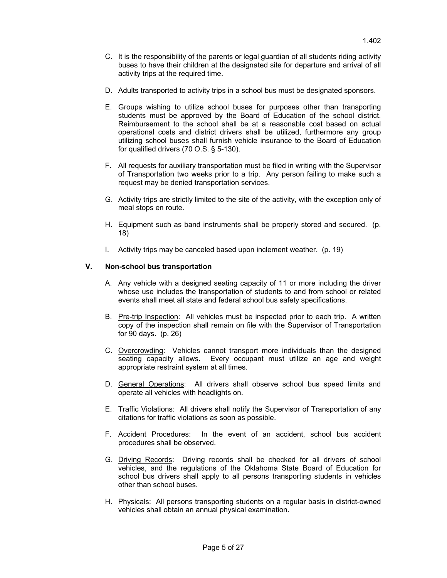- D. Adults transported to activity trips in a school bus must be designated sponsors.
- E. Groups wishing to utilize school buses for purposes other than transporting students must be approved by the Board of Education of the school district. Reimbursement to the school shall be at a reasonable cost based on actual operational costs and district drivers shall be utilized, furthermore any group utilizing school buses shall furnish vehicle insurance to the Board of Education for qualified drivers (70 O.S. § 5-130).
- F. All requests for auxiliary transportation must be filed in writing with the Supervisor of Transportation two weeks prior to a trip. Any person failing to make such a request may be denied transportation services.
- G. Activity trips are strictly limited to the site of the activity, with the exception only of meal stops en route.
- H. Equipment such as band instruments shall be properly stored and secured. (p. 18)
- I. Activity trips may be canceled based upon inclement weather. (p. 19)

## **V. Non-school bus transportation**

- A. Any vehicle with a designed seating capacity of 11 or more including the driver whose use includes the transportation of students to and from school or related events shall meet all state and federal school bus safety specifications.
- B. Pre-trip Inspection: All vehicles must be inspected prior to each trip. A written copy of the inspection shall remain on file with the Supervisor of Transportation for 90 days. (p. 26)
- C. Overcrowding: Vehicles cannot transport more individuals than the designed seating capacity allows. Every occupant must utilize an age and weight appropriate restraint system at all times.
- D. General Operations: All drivers shall observe school bus speed limits and operate all vehicles with headlights on.
- E. Traffic Violations: All drivers shall notify the Supervisor of Transportation of any citations for traffic violations as soon as possible.
- F. Accident Procedures: In the event of an accident, school bus accident procedures shall be observed.
- G. Driving Records: Driving records shall be checked for all drivers of school vehicles, and the regulations of the Oklahoma State Board of Education for school bus drivers shall apply to all persons transporting students in vehicles other than school buses.
- H. Physicals: All persons transporting students on a regular basis in district-owned vehicles shall obtain an annual physical examination.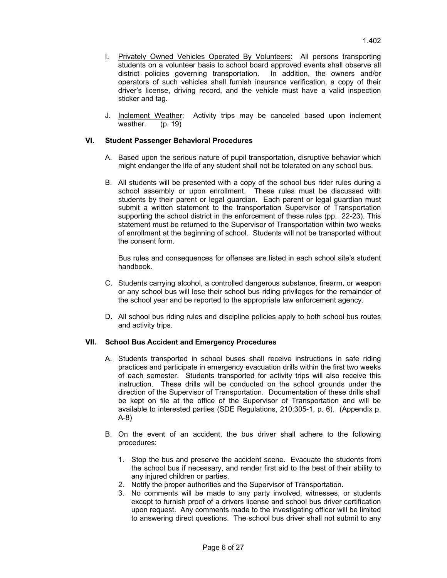- I. Privately Owned Vehicles Operated By Volunteers: All persons transporting students on a volunteer basis to school board approved events shall observe all district policies governing transportation. In addition, the owners and/or operators of such vehicles shall furnish insurance verification, a copy of their driver's license, driving record, and the vehicle must have a valid inspection sticker and tag.
- J. **Inclement Weather:** Activity trips may be canceled based upon inclement weather. (p. 19)

## **VI. Student Passenger Behavioral Procedures**

- A. Based upon the serious nature of pupil transportation, disruptive behavior which might endanger the life of any student shall not be tolerated on any school bus.
- B. All students will be presented with a copy of the school bus rider rules during a school assembly or upon enrollment. These rules must be discussed with students by their parent or legal guardian. Each parent or legal guardian must submit a written statement to the transportation Supervisor of Transportation supporting the school district in the enforcement of these rules (pp. 22-23). This statement must be returned to the Supervisor of Transportation within two weeks of enrollment at the beginning of school. Students will not be transported without the consent form.

Bus rules and consequences for offenses are listed in each school site's student handbook.

- C. Students carrying alcohol, a controlled dangerous substance, firearm, or weapon or any school bus will lose their school bus riding privileges for the remainder of the school year and be reported to the appropriate law enforcement agency.
- D. All school bus riding rules and discipline policies apply to both school bus routes and activity trips.

#### **VII. School Bus Accident and Emergency Procedures**

- A. Students transported in school buses shall receive instructions in safe riding practices and participate in emergency evacuation drills within the first two weeks of each semester. Students transported for activity trips will also receive this instruction. These drills will be conducted on the school grounds under the direction of the Supervisor of Transportation. Documentation of these drills shall be kept on file at the office of the Supervisor of Transportation and will be available to interested parties (SDE Regulations, 210:305-1, p. 6). (Appendix p. A-8)
- B. On the event of an accident, the bus driver shall adhere to the following procedures:
	- 1. Stop the bus and preserve the accident scene. Evacuate the students from the school bus if necessary, and render first aid to the best of their ability to any injured children or parties.
	- 2. Notify the proper authorities and the Supervisor of Transportation.
	- 3. No comments will be made to any party involved, witnesses, or students except to furnish proof of a drivers license and school bus driver certification upon request. Any comments made to the investigating officer will be limited to answering direct questions. The school bus driver shall not submit to any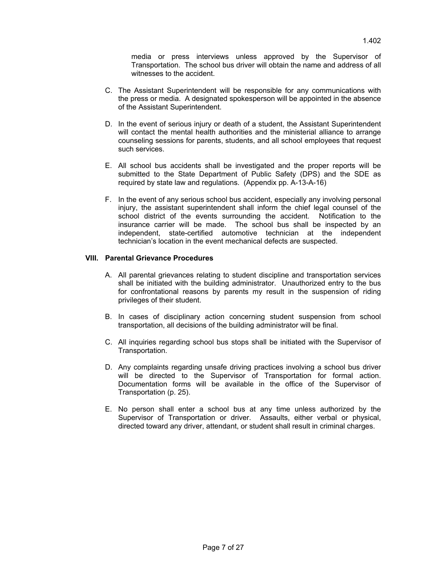media or press interviews unless approved by the Supervisor of Transportation. The school bus driver will obtain the name and address of all witnesses to the accident.

- C. The Assistant Superintendent will be responsible for any communications with the press or media. A designated spokesperson will be appointed in the absence of the Assistant Superintendent.
- D. In the event of serious injury or death of a student, the Assistant Superintendent will contact the mental health authorities and the ministerial alliance to arrange counseling sessions for parents, students, and all school employees that request such services.
- E. All school bus accidents shall be investigated and the proper reports will be submitted to the State Department of Public Safety (DPS) and the SDE as required by state law and regulations. (Appendix pp. A-13-A-16)
- F. In the event of any serious school bus accident, especially any involving personal injury, the assistant superintendent shall inform the chief legal counsel of the school district of the events surrounding the accident. Notification to the insurance carrier will be made. The school bus shall be inspected by an independent, state-certified automotive technician at the independent technician's location in the event mechanical defects are suspected.

#### **VIII. Parental Grievance Procedures**

- A. All parental grievances relating to student discipline and transportation services shall be initiated with the building administrator. Unauthorized entry to the bus for confrontational reasons by parents my result in the suspension of riding privileges of their student.
- B. In cases of disciplinary action concerning student suspension from school transportation, all decisions of the building administrator will be final.
- C. All inquiries regarding school bus stops shall be initiated with the Supervisor of Transportation.
- D. Any complaints regarding unsafe driving practices involving a school bus driver will be directed to the Supervisor of Transportation for formal action. Documentation forms will be available in the office of the Supervisor of Transportation (p. 25).
- E. No person shall enter a school bus at any time unless authorized by the Supervisor of Transportation or driver. Assaults, either verbal or physical, directed toward any driver, attendant, or student shall result in criminal charges.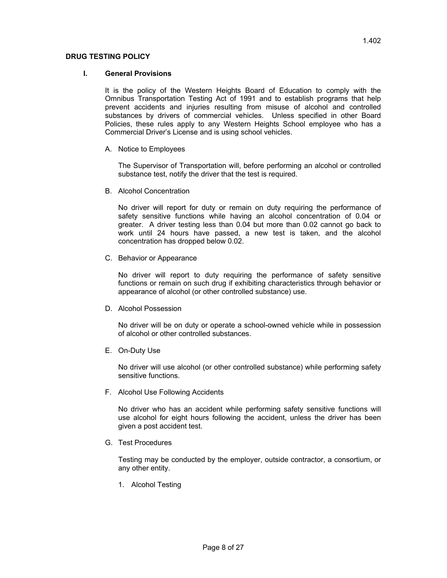## **DRUG TESTING POLICY**

## **I. General Provisions**

It is the policy of the Western Heights Board of Education to comply with the Omnibus Transportation Testing Act of 1991 and to establish programs that help prevent accidents and injuries resulting from misuse of alcohol and controlled substances by drivers of commercial vehicles. Unless specified in other Board Policies, these rules apply to any Western Heights School employee who has a Commercial Driver's License and is using school vehicles.

A. Notice to Employees

The Supervisor of Transportation will, before performing an alcohol or controlled substance test, notify the driver that the test is required.

B. Alcohol Concentration

No driver will report for duty or remain on duty requiring the performance of safety sensitive functions while having an alcohol concentration of 0.04 or greater. A driver testing less than 0.04 but more than 0.02 cannot go back to work until 24 hours have passed, a new test is taken, and the alcohol concentration has dropped below 0.02.

C. Behavior or Appearance

No driver will report to duty requiring the performance of safety sensitive functions or remain on such drug if exhibiting characteristics through behavior or appearance of alcohol (or other controlled substance) use.

D. Alcohol Possession

No driver will be on duty or operate a school-owned vehicle while in possession of alcohol or other controlled substances.

E. On-Duty Use

No driver will use alcohol (or other controlled substance) while performing safety sensitive functions.

F. Alcohol Use Following Accidents

No driver who has an accident while performing safety sensitive functions will use alcohol for eight hours following the accident, unless the driver has been given a post accident test.

G. Test Procedures

Testing may be conducted by the employer, outside contractor, a consortium, or any other entity.

1. Alcohol Testing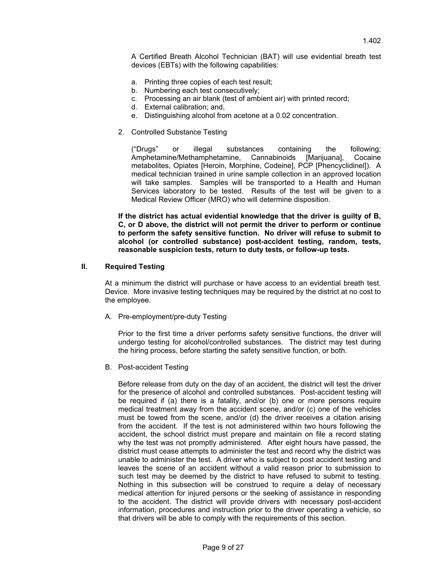A Certified Breath Alcohol Technician (BAT) will use evidential breath test devices (EBTs) with the following capabilities:

- a. Printing three copies of each test result;
- b. Numbering each test consecutively;
- c. Processing an air blank (test of ambient air) with printed record;
- d. External calibration; and,
- e. Distinguishing alcohol from acetone at a 0.02 concentration.
- 2. Controlled Substance Testing

("Drugs" or illegal substances containing the following; Amphetamine/Methamphetamine, Cannabinoids [Marijuana], Cocaine metabolites, Opiates [Heroin, Morphine, Codeine], PCP [Phencyclidinel]). A medical technician trained in urine sample collection in an approved location will take samples. Samples will be transported to a Health and Human Services laboratory to be tested. Results of the test will be given to a Medical Review Officer (MRO) who will determine disposition.

**If the district has actual evidential knowledge that the driver is guilty of B, C, or D above, the district will not permit the driver to perform or continue to perform the safety sensitive function. No driver will refuse to submit to alcohol (or controlled substance) post-accident testing, random, tests, reasonable suspicion tests, return to duty tests, or follow-up tests.** 

#### **II. Required Testing**

At a minimum the district will purchase or have access to an evidential breath test. Device. More invasive testing techniques may be required by the district at no cost to the employee.

A. Pre-employment/pre-duty Testing

Prior to the first time a driver performs safety sensitive functions, the driver will undergo testing for alcohol/controlled substances. The district may test during the hiring process, before starting the safety sensitive function, or both.

B. Post-accident Testing

Before release from duty on the day of an accident, the district will test the driver for the presence of alcohol and controlled substances. Post-accident testing will be required if (a) there is a fatality, and/or (b) one or more persons require medical treatment away from the accident scene, and/or (c) one of the vehicles must be towed from the scene, and/or (d) the driver receives a citation arising from the accident. If the test is not administered within two hours following the accident, the school district must prepare and maintain on file a record stating why the test was not promptly administered. After eight hours have passed, the district must cease attempts to administer the test and record why the district was unable to administer the test. A driver who is subject to post accident testing and leaves the scene of an accident without a valid reason prior to submission to such test may be deemed by the district to have refused to submit to testing. Nothing in this subsection will be construed to require a delay of necessary medical attention for injured persons or the seeking of assistance in responding to the accident. The district will provide drivers with necessary post-accident information, procedures and instruction prior to the driver operating a vehicle, so that drivers will be able to comply with the requirements of this section.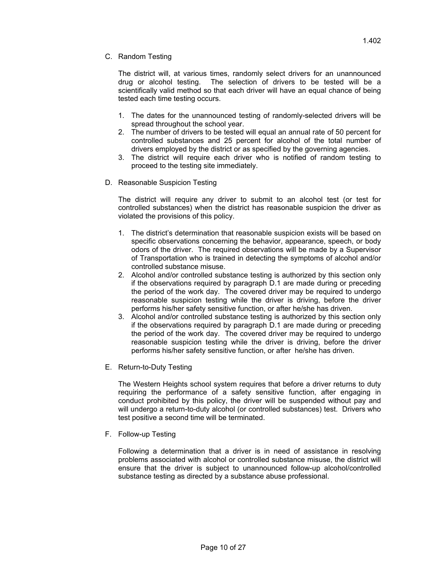C. Random Testing

The district will, at various times, randomly select drivers for an unannounced drug or alcohol testing. The selection of drivers to be tested will be a scientifically valid method so that each driver will have an equal chance of being tested each time testing occurs.

- 1. The dates for the unannounced testing of randomly-selected drivers will be spread throughout the school year.
- 2. The number of drivers to be tested will equal an annual rate of 50 percent for controlled substances and 25 percent for alcohol of the total number of drivers employed by the district or as specified by the governing agencies.
- 3. The district will require each driver who is notified of random testing to proceed to the testing site immediately.
- D. Reasonable Suspicion Testing

The district will require any driver to submit to an alcohol test (or test for controlled substances) when the district has reasonable suspicion the driver as violated the provisions of this policy.

- 1. The district's determination that reasonable suspicion exists will be based on specific observations concerning the behavior, appearance, speech, or body odors of the driver. The required observations will be made by a Supervisor of Transportation who is trained in detecting the symptoms of alcohol and/or controlled substance misuse.
- 2. Alcohol and/or controlled substance testing is authorized by this section only if the observations required by paragraph D.1 are made during or preceding the period of the work day. The covered driver may be required to undergo reasonable suspicion testing while the driver is driving, before the driver performs his/her safety sensitive function, or after he/she has driven.
- 3. Alcohol and/or controlled substance testing is authorized by this section only if the observations required by paragraph D.1 are made during or preceding the period of the work day. The covered driver may be required to undergo reasonable suspicion testing while the driver is driving, before the driver performs his/her safety sensitive function, or after he/she has driven.
- E. Return-to-Duty Testing

The Western Heights school system requires that before a driver returns to duty requiring the performance of a safety sensitive function, after engaging in conduct prohibited by this policy, the driver will be suspended without pay and will undergo a return-to-duty alcohol (or controlled substances) test. Drivers who test positive a second time will be terminated.

F. Follow-up Testing

Following a determination that a driver is in need of assistance in resolving problems associated with alcohol or controlled substance misuse, the district will ensure that the driver is subject to unannounced follow-up alcohol/controlled substance testing as directed by a substance abuse professional.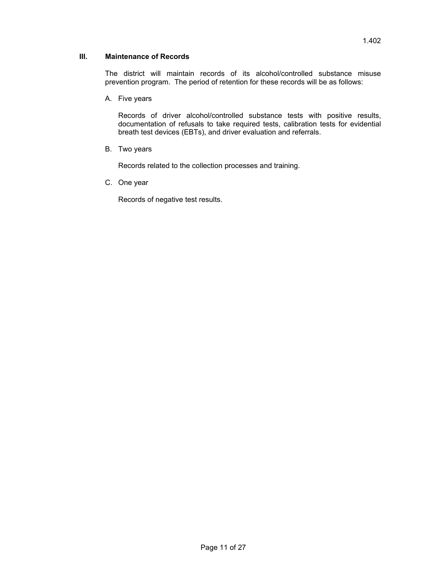## **III. Maintenance of Records**

The district will maintain records of its alcohol/controlled substance misuse prevention program. The period of retention for these records will be as follows:

A. Five years

Records of driver alcohol/controlled substance tests with positive results, documentation of refusals to take required tests, calibration tests for evidential breath test devices (EBTs), and driver evaluation and referrals.

B. Two years

Records related to the collection processes and training.

C. One year

Records of negative test results.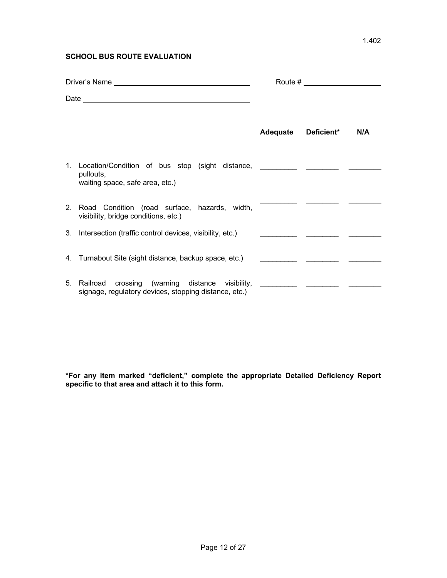## **SCHOOL BUS ROUTE EVALUATION**

| Driver's Name |                                                                                                                                 |          |                                    |     |
|---------------|---------------------------------------------------------------------------------------------------------------------------------|----------|------------------------------------|-----|
|               |                                                                                                                                 |          |                                    |     |
|               |                                                                                                                                 | Adequate | Deficient*                         | N/A |
|               | 1. Location/Condition of bus stop (sight distance, ___________ _________<br>pullouts,<br>waiting space, safe area, etc.)        |          |                                    |     |
|               | 2. Road Condition (road surface, hazards, width,<br>visibility, bridge conditions, etc.)                                        |          |                                    |     |
|               | 3. Intersection (traffic control devices, visibility, etc.)                                                                     |          |                                    |     |
|               | 4. Turnabout Site (sight distance, backup space, etc.)                                                                          |          | <u>and</u> a straight state of the |     |
|               | 5. Railroad crossing (warning distance visibility, __________ ________<br>signage, regulatory devices, stopping distance, etc.) |          |                                    |     |

**\*For any item marked "deficient," complete the appropriate Detailed Deficiency Report specific to that area and attach it to this form.**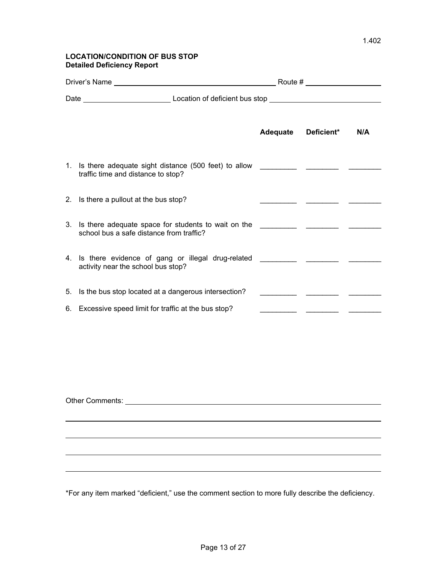## **LOCATION/CONDITION OF BUS STOP Detailed Deficiency Report**

|                                                                                                                                                                                                                                |                                                                                                                             |  | Adequate Deficient* | N/A |
|--------------------------------------------------------------------------------------------------------------------------------------------------------------------------------------------------------------------------------|-----------------------------------------------------------------------------------------------------------------------------|--|---------------------|-----|
|                                                                                                                                                                                                                                | 1. Is there adequate sight distance (500 feet) to allow<br>traffic time and distance to stop?                               |  |                     |     |
|                                                                                                                                                                                                                                | 2. Is there a pullout at the bus stop?                                                                                      |  |                     |     |
|                                                                                                                                                                                                                                | school bus a safe distance from traffic?                                                                                    |  |                     |     |
|                                                                                                                                                                                                                                | 4. Is there evidence of gang or illegal drug-related _____________ _________ ________<br>activity near the school bus stop? |  |                     |     |
|                                                                                                                                                                                                                                | 5. Is the bus stop located at a dangerous intersection?                                                                     |  |                     |     |
|                                                                                                                                                                                                                                | 6. Excessive speed limit for traffic at the bus stop?                                                                       |  |                     |     |
|                                                                                                                                                                                                                                |                                                                                                                             |  |                     |     |
| Other Comments: The Comments of the Comments of the Comments of the Comments of the Comments of the Comments of the Comments of the Comments of the Comments of the Comments of the Comments of the Comments of the Comments o |                                                                                                                             |  |                     |     |

\*For any item marked "deficient," use the comment section to more fully describe the deficiency.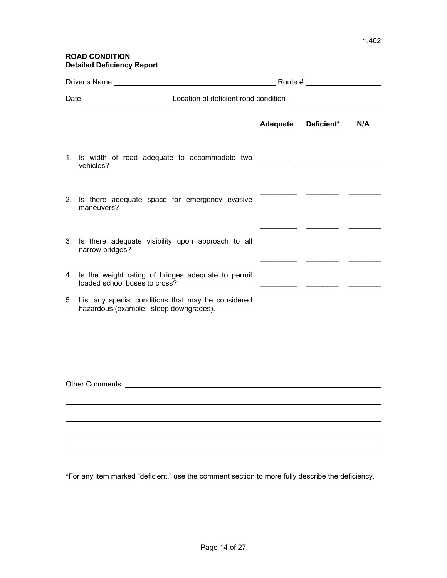## **ROAD CONDITION Detailed Deficiency Report**

|  |                                                                                                 | Adequate Deficient* | N/A |
|--|-------------------------------------------------------------------------------------------------|---------------------|-----|
|  | 1. Is width of road adequate to accommodate two ________________________________<br>vehicles?   |                     |     |
|  | 2. Is there adequate space for emergency evasive<br>maneuvers?                                  |                     |     |
|  | 3. Is there adequate visibility upon approach to all<br>narrow bridges?                         |                     |     |
|  | 4. Is the weight rating of bridges adequate to permit<br>loaded school buses to cross?          |                     |     |
|  | 5. List any special conditions that may be considered<br>hazardous (example: steep downgrades). |                     |     |
|  |                                                                                                 |                     |     |
|  |                                                                                                 |                     |     |
|  |                                                                                                 |                     |     |
|  |                                                                                                 |                     |     |
|  |                                                                                                 |                     |     |
|  |                                                                                                 |                     |     |

\*For any item marked "deficient," use the comment section to more fully describe the deficiency.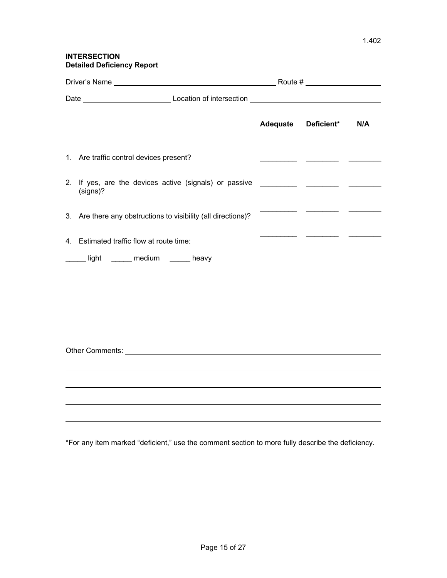## **INTERSECTION Detailed Deficiency Report**

|    |                                                               | Adequate Deficient* | N/A |
|----|---------------------------------------------------------------|---------------------|-----|
|    | 1. Are traffic control devices present?                       |                     |     |
|    | (signs)?                                                      |                     |     |
|    | 3. Are there any obstructions to visibility (all directions)? |                     |     |
| 4. | Estimated traffic flow at route time:                         |                     |     |
|    | Looking tight Looking medium Looking heavy                    |                     |     |
|    |                                                               |                     |     |
|    |                                                               |                     |     |
|    |                                                               |                     |     |

\*For any item marked "deficient," use the comment section to more fully describe the deficiency.

Other Comments: etc. and the comments of the comments of the comments of the comments of the comments of the comments of the comments of the comments of the comments of the comments of the comments of the comments of the c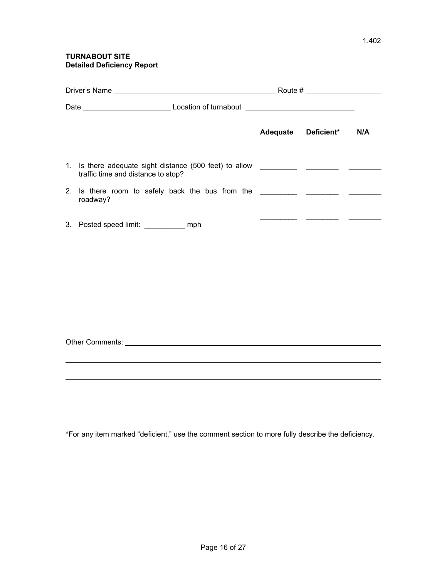## **TURNABOUT SITE Detailed Deficiency Report**

|  |                                                                                                                                                                                                                                      |  | Adequate Deficient* | N/A |
|--|--------------------------------------------------------------------------------------------------------------------------------------------------------------------------------------------------------------------------------------|--|---------------------|-----|
|  | traffic time and distance to stop?                                                                                                                                                                                                   |  |                     |     |
|  | roadway?                                                                                                                                                                                                                             |  |                     |     |
|  | 3. Posted speed limit: ____________ mph                                                                                                                                                                                              |  |                     |     |
|  |                                                                                                                                                                                                                                      |  |                     |     |
|  |                                                                                                                                                                                                                                      |  |                     |     |
|  | Other Comments: <u>example and the comments of the community of the community of the community of the community of the community of the community of the community of the community of the community of the community of the com</u> |  |                     |     |
|  |                                                                                                                                                                                                                                      |  |                     |     |
|  |                                                                                                                                                                                                                                      |  |                     |     |
|  |                                                                                                                                                                                                                                      |  |                     |     |
|  |                                                                                                                                                                                                                                      |  |                     |     |

\*For any item marked "deficient," use the comment section to more fully describe the deficiency.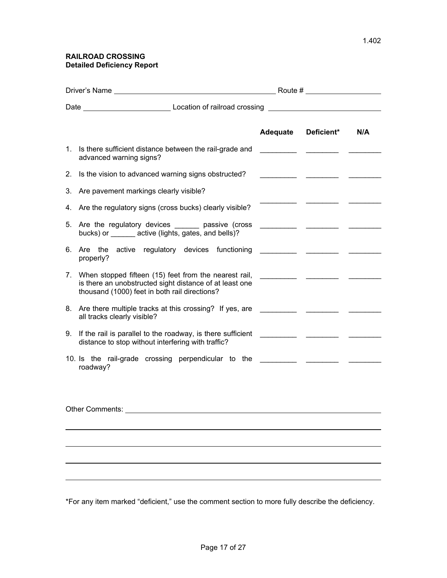| Driver's Name   |                                                                                                                                                                      |          | Route #           |     |  |
|-----------------|----------------------------------------------------------------------------------------------------------------------------------------------------------------------|----------|-------------------|-----|--|
|                 |                                                                                                                                                                      |          |                   |     |  |
|                 |                                                                                                                                                                      | Adequate | <b>Deficient*</b> | N/A |  |
|                 | 1. Is there sufficient distance between the rail-grade and<br>advanced warning signs?                                                                                |          |                   |     |  |
|                 | 2. Is the vision to advanced warning signs obstructed?                                                                                                               |          |                   |     |  |
|                 | 3. Are pavement markings clearly visible?                                                                                                                            |          |                   |     |  |
|                 | 4. Are the regulatory signs (cross bucks) clearly visible?                                                                                                           |          |                   |     |  |
|                 | 5. Are the regulatory devices ______ passive (cross<br>bucks) or _______ active (lights, gates, and bells)?                                                          |          |                   |     |  |
|                 | 6. Are the active regulatory devices functioning<br>properly?                                                                                                        |          |                   |     |  |
|                 | 7. When stopped fifteen (15) feet from the nearest rail,<br>is there an unobstructed sight distance of at least one<br>thousand (1000) feet in both rail directions? |          |                   |     |  |
|                 | 8. Are there multiple tracks at this crossing? If yes, are<br>all tracks clearly visible?                                                                            |          |                   |     |  |
|                 | 9. If the rail is parallel to the roadway, is there sufficient<br>distance to stop without interfering with traffic?                                                 |          |                   |     |  |
|                 | 10. Is the rail-grade crossing perpendicular to the _____________________________<br>roadway?                                                                        |          |                   |     |  |
|                 |                                                                                                                                                                      |          |                   |     |  |
| Other Comments: |                                                                                                                                                                      |          |                   |     |  |
|                 |                                                                                                                                                                      |          |                   |     |  |
|                 |                                                                                                                                                                      |          |                   |     |  |
|                 |                                                                                                                                                                      |          |                   |     |  |
|                 |                                                                                                                                                                      |          |                   |     |  |

\*For any item marked "deficient," use the comment section to more fully describe the deficiency.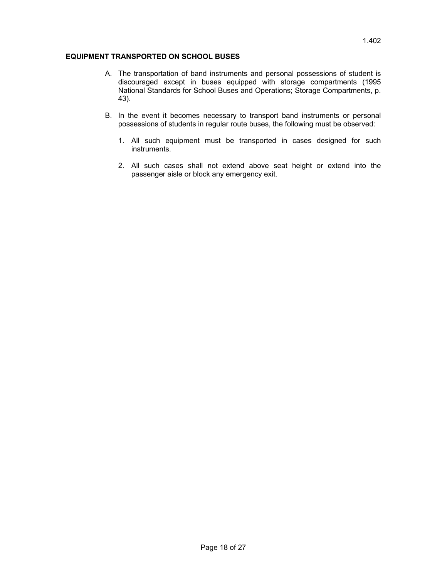## **EQUIPMENT TRANSPORTED ON SCHOOL BUSES**

- A. The transportation of band instruments and personal possessions of student is discouraged except in buses equipped with storage compartments (1995 National Standards for School Buses and Operations; Storage Compartments, p. 43).
- B. In the event it becomes necessary to transport band instruments or personal possessions of students in regular route buses, the following must be observed:
	- 1. All such equipment must be transported in cases designed for such instruments.
	- 2. All such cases shall not extend above seat height or extend into the passenger aisle or block any emergency exit.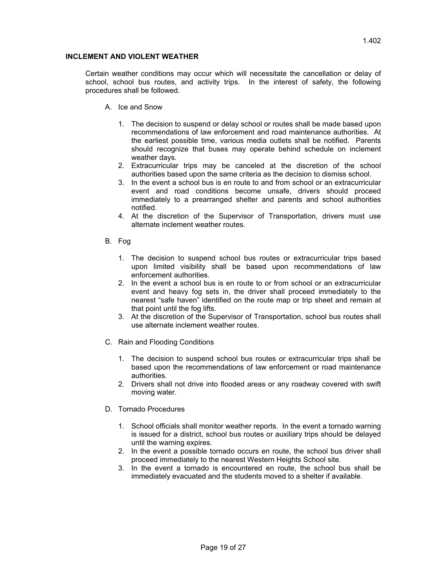## **INCLEMENT AND VIOLENT WEATHER**

Certain weather conditions may occur which will necessitate the cancellation or delay of school, school bus routes, and activity trips. In the interest of safety, the following procedures shall be followed.

- A. Ice and Snow
	- 1. The decision to suspend or delay school or routes shall be made based upon recommendations of law enforcement and road maintenance authorities. At the earliest possible time, various media outlets shall be notified. Parents should recognize that buses may operate behind schedule on inclement weather days.
	- 2. Extracurricular trips may be canceled at the discretion of the school authorities based upon the same criteria as the decision to dismiss school.
	- 3. In the event a school bus is en route to and from school or an extracurricular event and road conditions become unsafe, drivers should proceed immediately to a prearranged shelter and parents and school authorities notified.
	- 4. At the discretion of the Supervisor of Transportation, drivers must use alternate inclement weather routes.
- B. Fog
	- 1. The decision to suspend school bus routes or extracurricular trips based upon limited visibility shall be based upon recommendations of law enforcement authorities.
	- 2. In the event a school bus is en route to or from school or an extracurricular event and heavy fog sets in, the driver shall proceed immediately to the nearest "safe haven" identified on the route map or trip sheet and remain at that point until the fog lifts.
	- 3. At the discretion of the Supervisor of Transportation, school bus routes shall use alternate inclement weather routes.
- C. Rain and Flooding Conditions
	- 1. The decision to suspend school bus routes or extracurricular trips shall be based upon the recommendations of law enforcement or road maintenance authorities.
	- 2. Drivers shall not drive into flooded areas or any roadway covered with swift moving water.
- D. Tornado Procedures
	- 1. School officials shall monitor weather reports. In the event a tornado warning is issued for a district, school bus routes or auxiliary trips should be delayed until the warning expires.
	- 2. In the event a possible tornado occurs en route, the school bus driver shall proceed immediately to the nearest Western Heights School site.
	- 3. In the event a tornado is encountered en route, the school bus shall be immediately evacuated and the students moved to a shelter if available.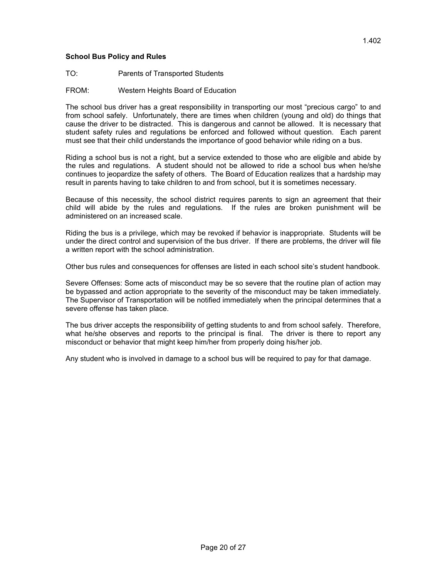## **School Bus Policy and Rules**

- TO: Parents of Transported Students
- FROM: Western Heights Board of Education

The school bus driver has a great responsibility in transporting our most "precious cargo" to and from school safely. Unfortunately, there are times when children (young and old) do things that cause the driver to be distracted. This is dangerous and cannot be allowed. It is necessary that student safety rules and regulations be enforced and followed without question. Each parent must see that their child understands the importance of good behavior while riding on a bus.

Riding a school bus is not a right, but a service extended to those who are eligible and abide by the rules and regulations. A student should not be allowed to ride a school bus when he/she continues to jeopardize the safety of others. The Board of Education realizes that a hardship may result in parents having to take children to and from school, but it is sometimes necessary.

Because of this necessity, the school district requires parents to sign an agreement that their child will abide by the rules and regulations. If the rules are broken punishment will be administered on an increased scale.

Riding the bus is a privilege, which may be revoked if behavior is inappropriate. Students will be under the direct control and supervision of the bus driver. If there are problems, the driver will file a written report with the school administration.

Other bus rules and consequences for offenses are listed in each school site's student handbook.

Severe Offenses: Some acts of misconduct may be so severe that the routine plan of action may be bypassed and action appropriate to the severity of the misconduct may be taken immediately. The Supervisor of Transportation will be notified immediately when the principal determines that a severe offense has taken place.

The bus driver accepts the responsibility of getting students to and from school safely. Therefore, what he/she observes and reports to the principal is final. The driver is there to report any misconduct or behavior that might keep him/her from properly doing his/her job.

Any student who is involved in damage to a school bus will be required to pay for that damage.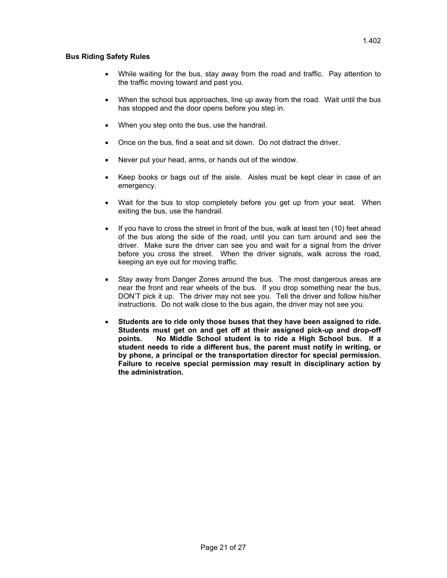## **Bus Riding Safety Rules**

- While waiting for the bus, stay away from the road and traffic. Pay attention to the traffic moving toward and past you.
- When the school bus approaches, line up away from the road. Wait until the bus has stopped and the door opens before you step in.
- When you step onto the bus, use the handrail.
- Once on the bus, find a seat and sit down. Do not distract the driver.
- Never put your head, arms, or hands out of the window.
- Keep books or bags out of the aisle. Aisles must be kept clear in case of an emergency.
- Wait for the bus to stop completely before you get up from your seat. When exiting the bus, use the handrail.
- If you have to cross the street in front of the bus, walk at least ten (10) feet ahead of the bus along the side of the road, until you can turn around and see the driver. Make sure the driver can see you and wait for a signal from the driver before you cross the street. When the driver signals, walk across the road, keeping an eye out for moving traffic.
- Stay away from Danger Zones around the bus. The most dangerous areas are near the front and rear wheels of the bus. If you drop something near the bus, DON'T pick it up. The driver may not see you. Tell the driver and follow his/her instructions. Do not walk close to the bus again, the driver may not see you.
- **Students are to ride only those buses that they have been assigned to ride. Students must get on and get off at their assigned pick-up and drop-off points. No Middle School student is to ride a High School bus. If a student needs to ride a different bus, the parent must notify in writing, or by phone, a principal or the transportation director for special permission. Failure to receive special permission may result in disciplinary action by the administration.**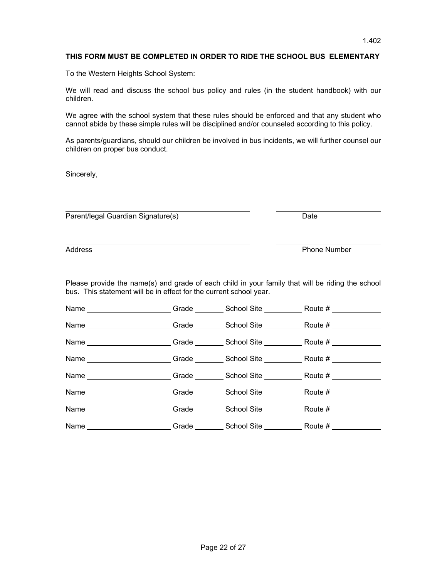## **THIS FORM MUST BE COMPLETED IN ORDER TO RIDE THE SCHOOL BUS ELEMENTARY**

To the Western Heights School System:

We will read and discuss the school bus policy and rules (in the student handbook) with our children.

We agree with the school system that these rules should be enforced and that any student who cannot abide by these simple rules will be disciplined and/or counseled according to this policy.

As parents/guardians, should our children be involved in bus incidents, we will further counsel our children on proper bus conduct.

Sincerely,

Parent/legal Guardian Signature(s) Date

 $\overline{a}$ 

Address Phone Number

Please provide the name(s) and grade of each child in your family that will be riding the school bus. This statement will be in effect for the current school year.

| Name _______________________Grade _________ School Site _____________Route # _____________                    |  |  |
|---------------------------------------------------------------------------------------------------------------|--|--|
| Name ______________________Grade __________School Site _________________________                              |  |  |
| Name ______________________Grade __________School Site _________________________                              |  |  |
| Name ______________________Grade __________School Site _________________________                              |  |  |
| Name _____________________Grade _________School Site ___________________________                              |  |  |
| Name _____________________Grade _________School Site ___________________________                              |  |  |
| Name Route # Crade Crade Crack Construction Crack Crack Crack Crack Crack Crack Crack Crack Crack Crack Crack |  |  |
| Name ______________________Grade __________School Site _________________________                              |  |  |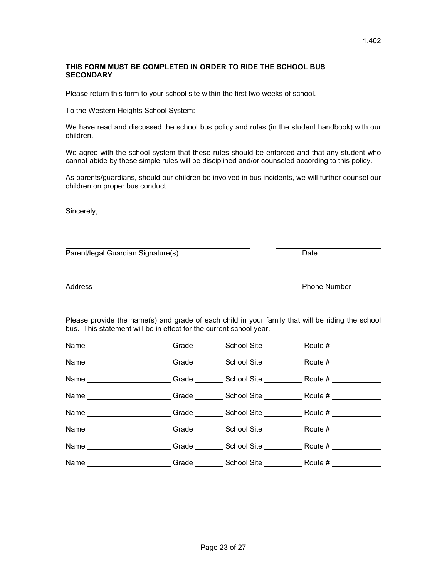## **THIS FORM MUST BE COMPLETED IN ORDER TO RIDE THE SCHOOL BUS SECONDARY**

Please return this form to your school site within the first two weeks of school.

To the Western Heights School System:

We have read and discussed the school bus policy and rules (in the student handbook) with our children.

We agree with the school system that these rules should be enforced and that any student who cannot abide by these simple rules will be disciplined and/or counseled according to this policy.

As parents/guardians, should our children be involved in bus incidents, we will further counsel our children on proper bus conduct.

Sincerely,

 Parent/legal Guardian Signature(s) Date

Address Phone Number

Please provide the name(s) and grade of each child in your family that will be riding the school bus. This statement will be in effect for the current school year.

| Name _______________________Grade _________ School Site _____________Route # ___________                                                                                                                                      |  |  |
|-------------------------------------------------------------------------------------------------------------------------------------------------------------------------------------------------------------------------------|--|--|
| Name ______________________Grade __________School Site _________________________                                                                                                                                              |  |  |
| Name ______________________Grade _________ School Site ____________Route # ____________                                                                                                                                       |  |  |
| Name ______________________Grade _________School Site ____________Route # ________                                                                                                                                            |  |  |
| Name Route # Capaca Crack Crack Crack Crack Crack Create Crack Crack Crack Crack Crack Crack Crack C                                                                                                                          |  |  |
| Name Route # Route # Crade Caracter Control School Site Route # Route # Route # Route # Route # Route # Route # Route # Route # Route # Route # Route # Route # Route # Route # Route # Route # Route # Route # Route # Route |  |  |
| Name ______________________Grade __________School Site ______________Route # ______________________                                                                                                                           |  |  |
| Name ______________________Grade _________School Site _____________Route # ____________                                                                                                                                       |  |  |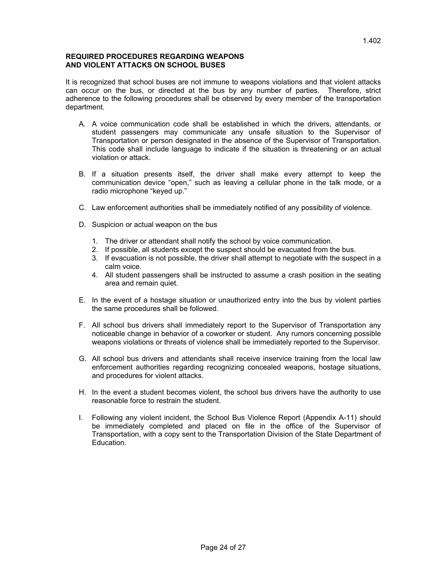## **REQUIRED PROCEDURES REGARDING WEAPONS AND VIOLENT ATTACKS ON SCHOOL BUSES**

It is recognized that school buses are not immune to weapons violations and that violent attacks can occur on the bus, or directed at the bus by any number of parties. Therefore, strict adherence to the following procedures shall be observed by every member of the transportation department.

- A. A voice communication code shall be established in which the drivers, attendants, or student passengers may communicate any unsafe situation to the Supervisor of Transportation or person designated in the absence of the Supervisor of Transportation. This code shall include language to indicate if the situation is threatening or an actual violation or attack.
- B. If a situation presents itself, the driver shall make every attempt to keep the communication device "open," such as leaving a cellular phone in the talk mode, or a radio microphone "keyed up."
- C. Law enforcement authorities shall be immediately notified of any possibility of violence.
- D. Suspicion or actual weapon on the bus
	- 1. The driver or attendant shall notify the school by voice communication.
	- 2. If possible, all students except the suspect should be evacuated from the bus.
	- 3. If evacuation is not possible, the driver shall attempt to negotiate with the suspect in a calm voice.
	- 4. All student passengers shall be instructed to assume a crash position in the seating area and remain quiet.
- E. In the event of a hostage situation or unauthorized entry into the bus by violent parties the same procedures shall be followed.
- F. All school bus drivers shall immediately report to the Supervisor of Transportation any noticeable change in behavior of a coworker or student. Any rumors concerning possible weapons violations or threats of violence shall be immediately reported to the Supervisor.
- G. All school bus drivers and attendants shall receive inservice training from the local law enforcement authorities regarding recognizing concealed weapons, hostage situations, and procedures for violent attacks.
- H. In the event a student becomes violent, the school bus drivers have the authority to use reasonable force to restrain the student.
- I. Following any violent incident, the School Bus Violence Report (Appendix A-11) should be immediately completed and placed on file in the office of the Supervisor of Transportation, with a copy sent to the Transportation Division of the State Department of Education.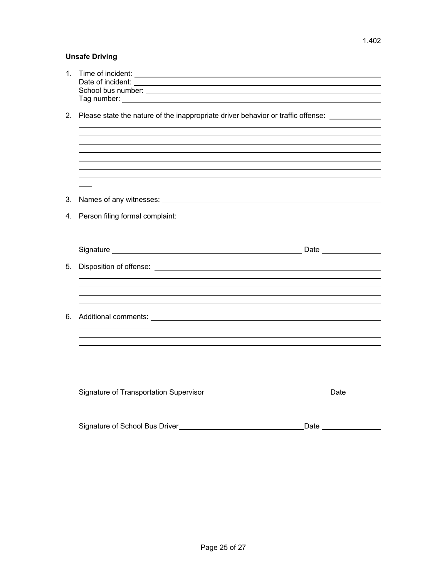## **Unsafe Driving**

| 1. | Time of incident: <u>contract the contract of the contract of the contract of the contract of the contract of the contract of the contract of the contract of the contract of the contract of the contract of the contract of th</u> |      |  |
|----|--------------------------------------------------------------------------------------------------------------------------------------------------------------------------------------------------------------------------------------|------|--|
|    | 2. Please state the nature of the inappropriate driver behavior or traffic offense: ______________                                                                                                                                   |      |  |
|    |                                                                                                                                                                                                                                      |      |  |
|    |                                                                                                                                                                                                                                      |      |  |
|    |                                                                                                                                                                                                                                      |      |  |
|    |                                                                                                                                                                                                                                      |      |  |
| 3. | Names of any witnesses: Names of any witnesses:                                                                                                                                                                                      |      |  |
|    | 4. Person filing formal complaint:                                                                                                                                                                                                   |      |  |
|    |                                                                                                                                                                                                                                      |      |  |
|    |                                                                                                                                                                                                                                      |      |  |
| 5. |                                                                                                                                                                                                                                      |      |  |
|    |                                                                                                                                                                                                                                      |      |  |
|    | ,我们也不会有什么。""我们的人,我们也不会有什么?""我们的人,我们也不会有什么?""我们的人,我们也不会有什么?""我们的人,我们也不会有什么?""我们的人                                                                                                                                                     |      |  |
| 6. |                                                                                                                                                                                                                                      |      |  |
|    |                                                                                                                                                                                                                                      |      |  |
|    |                                                                                                                                                                                                                                      |      |  |
|    |                                                                                                                                                                                                                                      |      |  |
|    |                                                                                                                                                                                                                                      |      |  |
|    |                                                                                                                                                                                                                                      |      |  |
|    |                                                                                                                                                                                                                                      |      |  |
|    | Signature of School Bus Driver                                                                                                                                                                                                       | Date |  |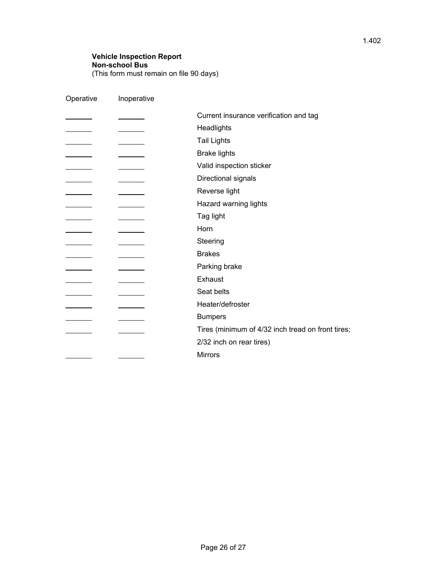## **Vehicle Inspection Report Non-school Bus**  (This form must remain on file 90 days)

| Operative                             | Inoperative                     |                                                   |
|---------------------------------------|---------------------------------|---------------------------------------------------|
|                                       |                                 | Current insurance verification and tag            |
|                                       |                                 | Headlights                                        |
|                                       |                                 | <b>Tail Lights</b>                                |
|                                       |                                 | <b>Brake lights</b>                               |
|                                       |                                 | Valid inspection sticker                          |
|                                       |                                 | Directional signals                               |
|                                       |                                 | Reverse light                                     |
| <u> a shekara ta 1999 a shekara t</u> | the contract of the contract of | Hazard warning lights                             |
|                                       |                                 | Tag light                                         |
|                                       |                                 | Horn                                              |
|                                       |                                 | Steering                                          |
|                                       |                                 | <b>Brakes</b>                                     |
|                                       |                                 | Parking brake                                     |
|                                       |                                 | Exhaust                                           |
|                                       |                                 | Seat belts                                        |
|                                       |                                 | Heater/defroster                                  |
|                                       |                                 | <b>Bumpers</b>                                    |
|                                       |                                 | Tires (minimum of 4/32 inch tread on front tires; |
|                                       |                                 | 2/32 inch on rear tires)                          |
|                                       |                                 | <b>Mirrors</b>                                    |
|                                       |                                 |                                                   |